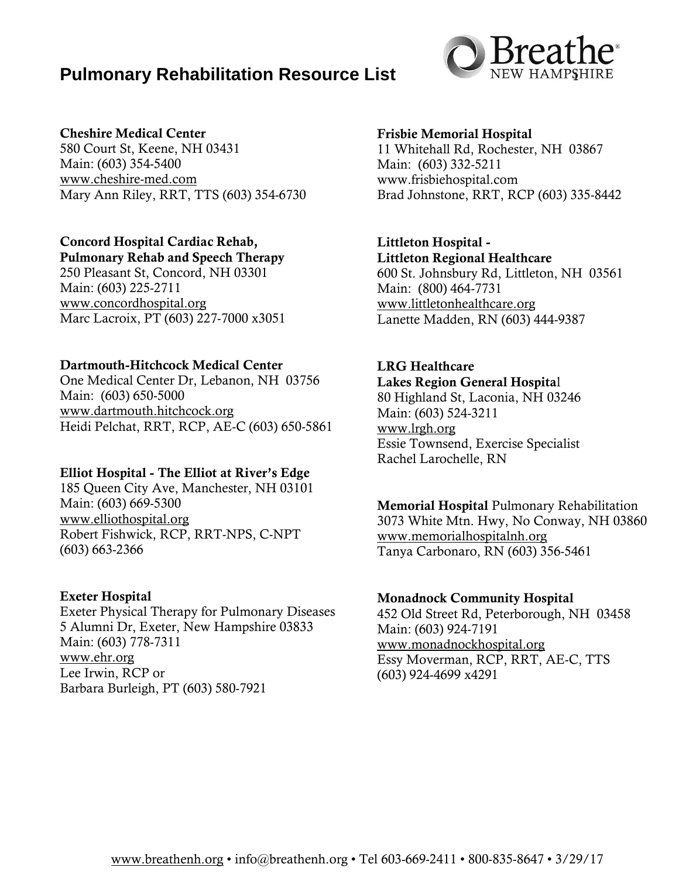# **Pulmonary Rehabilitation Resource List**



### Cheshire Medical Center

580 Court St, Keene, NH 03431 Main: (603) 354-5400 [www.cheshire-med.com](http://www.cheshire-med.com/) Mary Ann Riley, RRT, TTS (603) 354-6730

# Concord Hospital Cardiac Rehab,

Pulmonary Rehab and Speech Therapy 250 Pleasant St, Concord, NH 03301 Main: (603) 225-2711 [www.concordhospital.org](http://www.concordhospital.org/) Marc Lacroix, PT (603) 227-7000 x3051

### Dartmouth-Hitchcock Medical Center

One Medical Center Dr, Lebanon, NH 03756 Main: (603) 650-5000 [www.dartmouth.hitchcock.org](http://www.dartmouth.hitchcock.org/) Heidi Pelchat, RRT, RCP, AE-C (603) 650-5861

## Elliot Hospital - The Elliot at River's Edge

185 Queen City Ave, Manchester, NH 03101 Main: (603) 669-5300 [www.elliothospital.org](http://www.elliothospital.org/) Robert Fishwick, RCP, RRT-NPS, C-NPT (603) 663-2366

## Exeter Hospital

Exeter Physical Therapy for Pulmonary Diseases 5 Alumni Dr, Exeter, New Hampshire 03833 Main: (603) 778-7311 [www.ehr.org](http://www.ehr.org/) Lee Irwin, RCP or Barbara Burleigh, PT (603) 580-7921

### Frisbie Memorial Hospital

11 Whitehall Rd, Rochester, NH 03867 Main: (603) 332-5211 www.frisbiehospital.com Brad Johnstone, RRT, RCP (603) 335-8442

## Littleton Hospital -

Littleton Regional Healthcare 600 St. Johnsbury Rd, Littleton, NH 03561 Main: (800) 464-7731 [www.littletonhealthcare.org](http://www.littletonhealthcare.org/) Lanette Madden, RN (603) 444-9387

# LRG Healthcare

Lakes Region General Hospital 80 Highland St, Laconia, NH 03246 Main: (603) 524-3211 [www.lrgh.org](http://www.lrgh.org/) Essie Townsend, Exercise Specialist Rachel Larochelle, RN

Memorial Hospital Pulmonary Rehabilitation 3073 White Mtn. Hwy, No Conway, NH 03860 [www.memorialhospitalnh.org](http://www.memorialhospitalnh.org/) Tanya Carbonaro, RN (603) 356-5461

#### Monadnock Community Hospital

452 Old Street Rd, Peterborough, NH 03458 Main: (603) 924-7191 [www.monadnockhospital.org](http://www.monadnockhospital.org/) Essy Moverman, RCP, RRT, AE-C, TTS (603) 924-4699 x4291